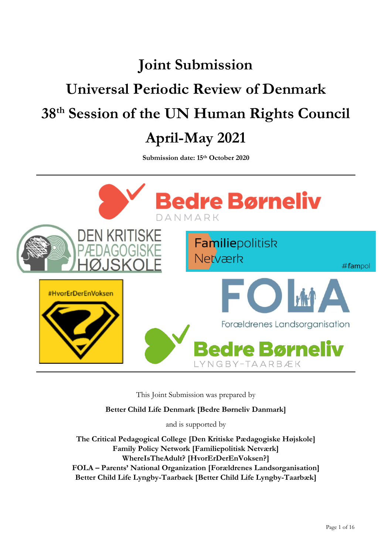# **Joint Submission Universal Periodic Review of Denmark 38th Session of the UN Human Rights Council April-May 2021**

**Submission date: 15th October 2020**



This Joint Submission was prepared by

**Better Child Life Denmark [Bedre Børneliv Danmark]**

and is supported by

**The Critical Pedagogical College [Den Kritiske Pædagogiske Højskole] Family Policy Network [Familiepolitisk Netværk] WhereIsTheAdult? [HvorErDerEnVoksen?] FOLA – Parents' National Organization [Forældrenes Landsorganisation] Better Child Life Lyngby-Taarbaek [Better Child Life Lyngby-Taarbæk]**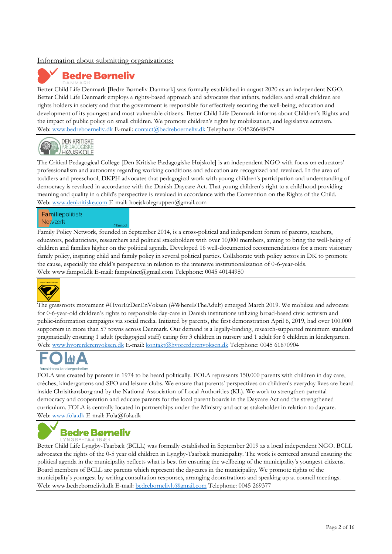## Information about submitting organizations:



Better Child Life Denmark [Bedre Børneliv Danmark] was formally established in august 2020 as an independent NGO. Better Child Life Denmark employs a rights-based approach and advocates that infants, toddlers and small children are rights holders in society and that the government is responsible for effectively securing the well-being, education and development of its youngest and most vulnerable citizens. Better Child Life Denmark informs about Children's Rights and the impact of public policy on small children. We promote children's rights by mobilization, and legislative activism. Web: [www.bedreboerneliv.dk](http://www.bedreboerneliv.dk/) E-mail: [contact@bedreboerneliv.dk](mailto:contact@bedreboerneliv.dk) Telephone: 004526648479



The Critical Pedagogical College [Den Kritiske Pædagogiske Højskole] is an independent NGO with focus on educators' professionalism and autonomy regarding working conditions and education are recognized and revalued. In the area of toddlers and preeschool, DKPH advocates that pedagogical work with young children's participation and understanding of democracy is revalued in accordance with the Danish Daycare Act. That young children's right to a childhood providing meaning and quality in a child's perspective is revalued in accordance with the Convention on the Rights of the Child. Web: [www.denkritiske.com](http://www.denkritiske.com/) E-mail: hoejskolegruppen@gmail.com

### Familiepolitisk Netværk

Family Policy Network, founded in September 2014, is a cross-political and independent forum of parents, teachers, educators, pediatricians, researchers and political stakeholders with over 10,000 members, aiming to bring the well-being of children and families higher on the political agenda. Developed 16 well-documented recommendations for a more visionary family policy, inspiring child and family policy in several political parties. Collaborate with policy actors in DK to promote the cause, especially the child's perspective in relation to the intensive institutionalization of 0-6-year-olds. Web: www.fampol.dk E-mail: fampolnet@gmail.com Telephone: 0045 40144980



The grassroots movement #HvorErDerEnVoksen (#WhereIsTheAdult) emerged March 2019. We mobilize and advocate for 0-6-year-old children's rights to responsible day-care in Danish institutions utilizing broad-based civic activism and public-information campaigns via social media. Initiated by parents, the first demonstration April 6, 2019, had over 100.000 supporters in more than 57 towns across Denmark. Our demand is a legally-binding, research-supported minimum standard pragmatically ensuring 1 adult (pedagogical staff) caring for 3 children in nursery and 1 adult for 6 children in kindergarten. Web: [www.hvorerderenvoksen.dk](http://www.hvorerderenvoksen.dk/) E-mail[: kontakt@hvorerderenvoksen.dk](mailto:kontakt@hvorerderenvoksen.dk) Telephone: 0045 61670904

FOLA was created by parents in 1974 to be heard politically. FOLA represents 150.000 parents with children in day care, crèches, kindergartens and SFO and leisure clubs. We ensure that parents' perspectives on children's everyday lives are heard inside Chrisitiansborg and by the National Association of Local Authorities (KL). We work to strengthen parental democracy and cooperation and educate parents for the local parent boards in the Daycare Act and the strengthened curriculum. FOLA is centrally located in partnerships under the Ministry and act as stakeholder in relation to daycare. Web: [www.fola.dk](http://www.fola.dk/) E-mail: Fola@fola.dk

# **Bedre Børneliv**

Better Child Life Lyngby-Taarbæk (BCLL) was formally established in September 2019 as a local independent NGO. BCLL advocates the rights of the 0-5 year old children in Lyngby-Taarbæk municipality. The work is centered around ensuring the political agenda in the municipality reflects what is best for ensuring the wellbeing of the municipality's youngest citizens. Board members of BCLL are parents which represent the daycares in the municipality. We promote rights of the municipality's youngest by writing consultation responses, arranging deonstrations and speaking up at council meetings. Web: [www.bedrebørnelivlt.dk](http://www.bedrebørnelivlt.dk/) E-mail: [bedrebornelivlt@gmail.com](mailto:bedrebornelivlt@gmail.com) Telephone: 0045 269377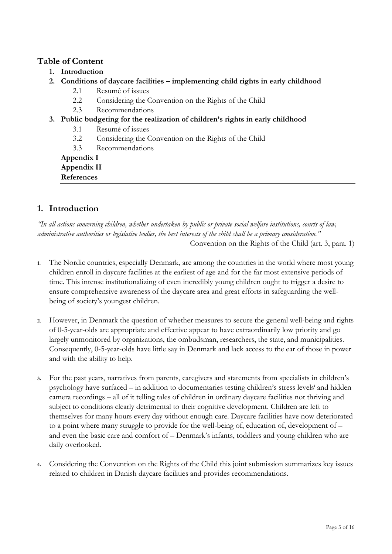# **Table of Content**

- **1. Introduction**
- **2. Conditions of daycare facilities – implementing child rights in early childhood** 
	- 2.1 Resumé of issues
	- 2.2 Considering the Convention on the Rights of the Child
	- 2.3 Recommendations
- **3. Public budgeting for the realization of children's rights in early childhood** 
	- 3.1 Resumé of issues
	- 3.2 Considering the Convention on the Rights of the Child
	- 3.3 Recommendations

**Appendix I**

**Appendix II References** 

# **1. Introduction**

*"In all actions concerning children, whether undertaken by public or private social welfare institutions, courts of law, administrative authorities or legislative bodies, the best interests of the child shall be a primary consideration."* Convention on the Rights of the Child (art. 3, para. 1)

- **1.** The Nordic countries, especially Denmark, are among the countries in the world where most young children enroll in daycare facilities at the earliest of age and for the far most extensive periods of time. This intense institutionalizing of even incredibly young children ought to trigger a desire to ensure comprehensive awareness of the daycare area and great efforts in safeguarding the wellbeing of society's youngest children.
- **2.** However, in Denmark the question of whether measures to secure the general well-being and rights of 0-5-year-olds are appropriate and effective appear to have extraordinarily low priority and go largely unmonitored by organizations, the ombudsman, researchers, the state, and municipalities. Consequently, 0-5-year-olds have little say in Denmark and lack access to the ear of those in power and with the ability to help.
- **3.** For the past years, narratives from parents, caregivers and statements from specialists in children's psychology have surfaced - in addition to documentaries testing children's stress levels<sup>i</sup> and hidden camera recordings – all of it telling tales of children in ordinary daycare facilities not thriving and subject to conditions clearly detrimental to their cognitive development. Children are left to themselves for many hours every day without enough care. Daycare facilities have now deteriorated to a point where many struggle to provide for the well-being of, education of, development of – and even the basic care and comfort of – Denmark's infants, toddlers and young children who are daily overlooked.
- **4.** Considering the Convention on the Rights of the Child this joint submission summarizes key issues related to children in Danish daycare facilities and provides recommendations.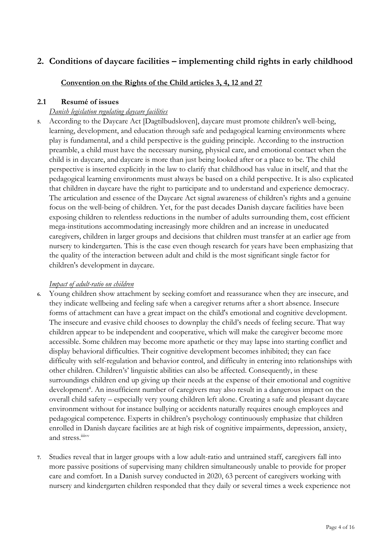# **2. Conditions of daycare facilities – implementing child rights in early childhood**

**Convention on the Rights of the Child articles 3, 4, 12 and 27**

# **2.1 Resumé of issues**

# *Danish legislation regulating daycare facilities*

**5.** According to the Daycare Act [Dagtilbudsloven], daycare must promote children's well-being, learning, development, and education through safe and pedagogical learning environments where play is fundamental, and a child perspective is the guiding principle. According to the instruction preamble, a child must have the necessary nursing, physical care, and emotional contact when the child is in daycare, and daycare is more than just being looked after or a place to be. The child perspective is inserted explicitly in the law to clarify that childhood has value in itself, and that the pedagogical learning environments must always be based on a child perspective. It is also explicated that children in daycare have the right to participate and to understand and experience democracy. The articulation and essence of the Daycare Act signal awareness of children's rights and a genuine focus on the well-being of children. Yet, for the past decades Danish daycare facilities have been exposing children to relentless reductions in the number of adults surrounding them, cost efficient mega-institutions accommodating increasingly more children and an increase in uneducated caregivers, children in larger groups and decisions that children must transfer at an earlier age from nursery to kindergarten. This is the case even though research for years have been emphasizing that the quality of the interaction between adult and child is the most significant single factor for children's development in daycare.

# *Impact of adult-ratio on children*

- **6.** Young children show attachment by seeking comfort and reassurance when they are insecure, and they indicate wellbeing and feeling safe when a caregiver returns after a short absence. Insecure forms of attachment can have a great impact on the child's emotional and cognitive development. The insecure and evasive child chooses to downplay the child's needs of feeling secure. That way children appear to be independent and cooperative, which will make the caregiver become more accessible. Some children may become more apathetic or they may lapse into starting conflict and display behavioral difficulties. Their cognitive development becomes inhibited; they can face difficulty with self-regulation and behavior control, and difficulty in entering into relationships with other children. Children's' linguistic abilities can also be affected. Consequently, in these surroundings children end up giving up their needs at the expense of their emotional and cognitive development<sup>ii</sup>. An insufficient number of caregivers may also result in a dangerous impact on the overall child safety – especially very young children left alone. Creating a safe and pleasant daycare environment without for instance bullying or accidents naturally requires enough employees and pedagogical competence. Experts in children's psychology continuously emphasize that children enrolled in Danish daycare facilities are at high risk of cognitive impairments, depression, anxiety, and stress.iiivv
- **7.** Studies reveal that in larger groups with a low adult-ratio and untrained staff, caregivers fall into more passive positions of supervising many children simultaneously unable to provide for proper care and comfort. In a Danish survey conducted in 2020, 63 percent of caregivers working with nursery and kindergarten children responded that they daily or several times a week experience not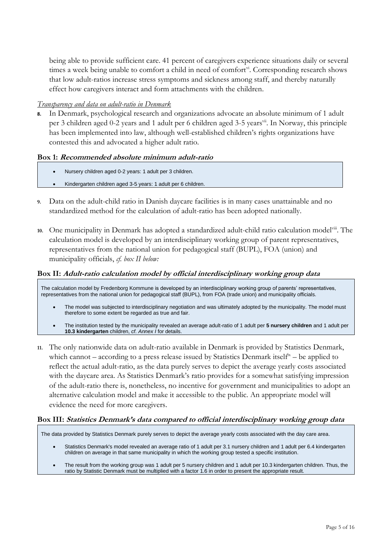being able to provide sufficient care. 41 percent of caregivers experience situations daily or several times a week being unable to comfort a child in need of comfort<sup>vi</sup>. Corresponding research shows that low adult-ratios increase stress symptoms and sickness among staff, and thereby naturally effect how caregivers interact and form attachments with the children.

# *Transparency and data on adult-ratio in Denmark*

**8.** In Denmark, psychological research and organizations advocate an absolute minimum of 1 adult per 3 children aged 0-2 years and 1 adult per 6 children aged 3-5 years<sup>vii</sup>. In Norway, this principle has been implemented into law, although well-established children's rights organizations have contested this and advocated a higher adult ratio.

# **Box 1: Recommended absolute minimum adult-ratio**

- Nursery children aged 0-2 years: 1 adult per 3 children.
- Kindergarten children aged 3-5 years: 1 adult per 6 children.
- **9.** Data on the adult-child ratio in Danish daycare facilities is in many cases unattainable and no standardized method for the calculation of adult-ratio has been adopted nationally.
- **10.** One municipality in Denmark has adopted a standardized adult-child ratio calculation modelviii. The calculation model is developed by an interdisciplinary working group of parent representatives, representatives from the national union for pedagogical staff (BUPL), FOA (union) and municipality officials, *cf. box II below:*

# **Box II: Adult-ratio calculation model by official interdisciplinary working group data**

The calculation model by Fredenborg Kommune is developed by an interdisciplinary working group of parents' representatives, representatives from the national union for pedagogical staff (BUPL), from FOA (trade union) and municipality officials.

- The model was subjected to interdisciplinary negotiation and was ultimately adopted by the municipality. The model must therefore to some extent be regarded as true and fair.
- The institution tested by the municipality revealed an average adult-ratio of 1 adult per **5 nursery children** and 1 adult per **10.3 kindergarten** children, *cf. Annex I* for details.
- **11.** The only nationwide data on adult-ratio available in Denmark is provided by Statistics Denmark, which cannot – according to a press release issued by Statistics Denmark itself<sup>\*</sup> – be applied to reflect the actual adult-ratio, as the data purely serves to depict the average yearly costs associated with the daycare area. As Statistics Denmark's ratio provides for a somewhat satisfying impression of the adult-ratio there is, nonetheless, no incentive for government and municipalities to adopt an alternative calculation model and make it accessible to the public. An appropriate model will evidence the need for more caregivers.

# **Box III: Statistics Denmark's data compared to official interdisciplinary working group data**

The data provided by Statistics Denmark purely serves to depict the average yearly costs associated with the day care area.

- Statistics Denmark's model revealed an average ratio of 1 adult per 3.1 nursery children and 1 adult per 6.4 kindergarten children on average in that same municipality in which the working group tested a specific institution.
- The result from the working group was 1 adult per 5 nursery children and 1 adult per 10.3 kindergarten children. Thus, the ratio by Statistic Denmark must be multiplied with a factor 1.6 in order to present the appropriate result.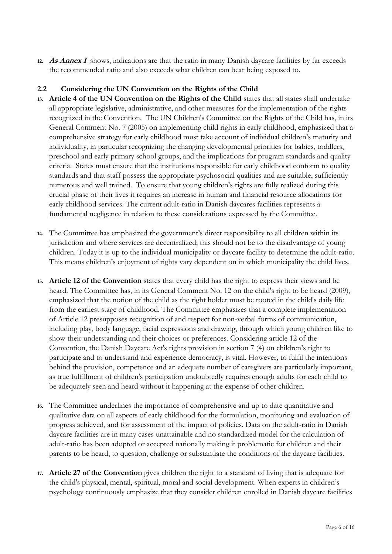**12. As Annex I** shows, indications are that the ratio in many Danish daycare facilities by far exceeds the recommended ratio and also exceeds what children can bear being exposed to.

# **2.2 Considering the UN Convention on the Rights of the Child**

- **13. Article 4 of the UN Convention on the Rights of the Child** states that all states shall undertake all appropriate legislative, administrative, and other measures for the implementation of the rights recognized in the Convention. The UN Children's Committee on the Rights of the Child has, in its General Comment No. 7 (2005) on implementing child rights in early childhood, emphasized that a comprehensive strategy for early childhood must take account of individual children's maturity and individuality, in particular recognizing the changing developmental priorities for babies, toddlers, preschool and early primary school groups, and the implications for program standards and quality criteria. States must ensure that the institutions responsible for early childhood conform to quality standards and that staff possess the appropriate psychosocial qualities and are suitable, sufficiently numerous and well trained. To ensure that young children's rights are fully realized during this crucial phase of their lives it requires an increase in human and financial resource allocations for early childhood services. The current adult-ratio in Danish daycares facilities represents a fundamental negligence in relation to these considerations expressed by the Committee.
- **14.** The Committee has emphasized the government's direct responsibility to all children within its jurisdiction and where services are decentralized; this should not be to the disadvantage of young children. Today it is up to the individual municipality or daycare facility to determine the adult-ratio. This means children's enjoyment of rights vary dependent on in which municipality the child lives.
- **15. Article 12 of the Convention** states that every child has the right to express their views and be heard. The Committee has, in its General Comment No. 12 on the child's right to be heard (2009), emphasized that the notion of the child as the right holder must be rooted in the child's daily life from the earliest stage of childhood. The Committee emphasizes that a complete implementation of Article 12 presupposes recognition of and respect for non-verbal forms of communication, including play, body language, facial expressions and drawing, through which young children like to show their understanding and their choices or preferences. Considering article 12 of the Convention, the Danish Daycare Act's rights provision in section 7 (4) on children's right to participate and to understand and experience democracy, is vital. However, to fulfil the intentions behind the provision, competence and an adequate number of caregivers are particularly important, as true fulfillment of children's participation undoubtedly requires enough adults for each child to be adequately seen and heard without it happening at the expense of other children.
- **16.** The Committee underlines the importance of comprehensive and up to date quantitative and qualitative data on all aspects of early childhood for the formulation, monitoring and evaluation of progress achieved, and for assessment of the impact of policies. Data on the adult-ratio in Danish daycare facilities are in many cases unattainable and no standardized model for the calculation of adult-ratio has been adopted or accepted nationally making it problematic for children and their parents to be heard, to question, challenge or substantiate the conditions of the daycare facilities.
- **17. Article 27 of the Convention** gives children the right to a standard of living that is adequate for the child's physical, mental, spiritual, moral and social development. When experts in children's psychology continuously emphasize that they consider children enrolled in Danish daycare facilities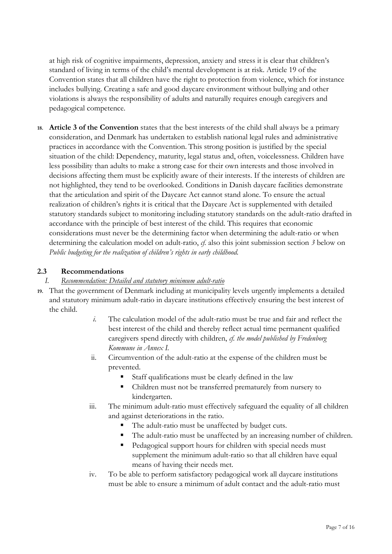at high risk of cognitive impairments, depression, anxiety and stress it is clear that children's standard of living in terms of the child's mental development is at risk. Article 19 of the Convention states that all children have the right to protection from violence, which for instance includes bullying. Creating a safe and good daycare environment without bullying and other violations is always the responsibility of adults and naturally requires enough caregivers and pedagogical competence.

**18. Article 3 of the Convention** states that the best interests of the child shall always be a primary consideration, and Denmark has undertaken to establish national legal rules and administrative practices in accordance with the Convention. This strong position is justified by the special situation of the child: Dependency, maturity, legal status and, often, voicelessness. Children have less possibility than adults to make a strong case for their own interests and those involved in decisions affecting them must be explicitly aware of their interests. If the interests of children are not highlighted, they tend to be overlooked. Conditions in Danish daycare facilities demonstrate that the articulation and spirit of the Daycare Act cannot stand alone. To ensure the actual realization of children's rights it is critical that the Daycare Act is supplemented with detailed statutory standards subject to monitoring including statutory standards on the adult-ratio drafted in accordance with the principle of best interest of the child. This requires that economic considerations must never be the determining factor when determining the adult-ratio or when determining the calculation model on adult-ratio, *cf.* also this joint submission section *3* below on *Public budgeting for the realization of children's rights in early childhood.*

# **2.3 Recommendations**

# *I. Recommendation: Detailed and statutory minimum adult-ratio*

- **19.** That the government of Denmark including at municipality levels urgently implements a detailed and statutory minimum adult-ratio in daycare institutions effectively ensuring the best interest of the child.
	- *i.* The calculation model of the adult-ratio must be true and fair and reflect the best interest of the child and thereby reflect actual time permanent qualified caregivers spend directly with children, *cf. the model published by Fredenborg Kommune in Annex I.*
	- ii. Circumvention of the adult-ratio at the expense of the children must be prevented.
		- Staff qualifications must be clearly defined in the law
		- Children must not be transferred prematurely from nursery to kindergarten.
	- iii. The minimum adult-ratio must effectively safeguard the equality of all children and against deteriorations in the ratio.
		- The adult-ratio must be unaffected by budget cuts.
		- The adult-ratio must be unaffected by an increasing number of children.
		- Pedagogical support hours for children with special needs must supplement the minimum adult-ratio so that all children have equal means of having their needs met.
	- iv. To be able to perform satisfactory pedagogical work all daycare institutions must be able to ensure a minimum of adult contact and the adult-ratio must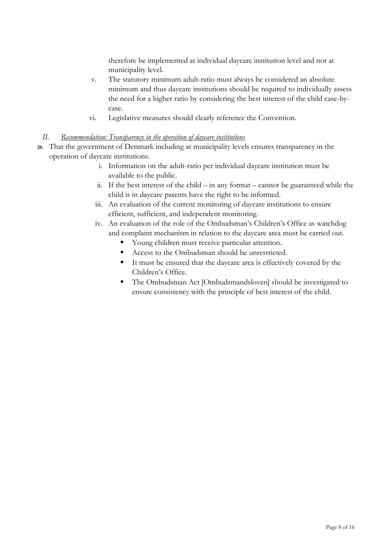therefore be implemented at individual daycare institution level and not at municipality level.

- v. The statutory minimum adult-ratio must always be considered an absolute minimum and thus daycare institutions should be required to individually assess the need for a higher ratio by considering the best interest of the child case-bycase.
- vi. Legislative measures should clearly reference the Convention.

# *II. Recommendation: Transparency in the operation of daycare institutions*

- **20.** That the government of Denmark including at municipality levels ensures transparency in the operation of daycare institutions.
	- i. Information on the adult-ratio per individual daycare institution must be available to the public.
	- ii. If the best interest of the child in any format cannot be guaranteed while the child is in daycare parents have the right to be informed.
	- iii. An evaluation of the current monitoring of daycare institutions to ensure efficient, sufficient, and independent monitoring.
	- iv. An evaluation of the role of the Ombudsman's Children's Office as watchdog and complaint mechanism in relation to the daycare area must be carried out.
		- Young children must receive particular attention.
		- Access to the Ombudsman should be unrestricted.
		- It must be ensured that the daycare area is effectively covered by the Children's Office.
		- The Ombudsman Act [Ombudsmandsloven] should be investigated to ensure consistency with the principle of best interest of the child.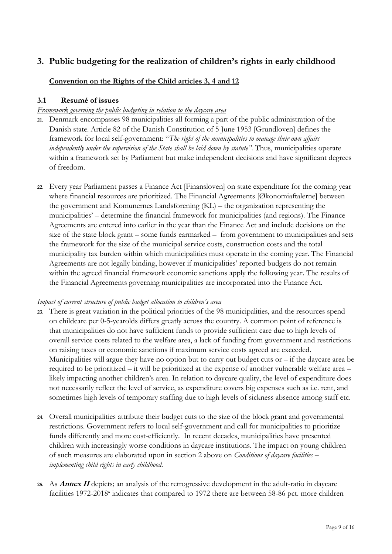# **3. Public budgeting for the realization of children's rights in early childhood**

# **Convention on the Rights of the Child articles 3, 4 and 12**

# **3.1 Resumé of issues**

# *Framework governing the public budgeting in relation to the daycare area*

- **21.** Denmark encompasses 98 municipalities all forming a part of the public administration of the Danish state. Article 82 of the Danish Constitution of 5 June 1953 [Grundloven] defines the framework for local self-government: "*The right of the municipalities to manage their own affairs independently under the supervision of the State shall be laid down by statute"*. Thus, municipalities operate within a framework set by Parliament but make independent decisions and have significant degrees of freedom.
- **22.** Every year Parliament passes a Finance Act [Finansloven] on state expenditure for the coming year where financial resources are prioritized. The Financial Agreements [Økonomiaftalerne] between the government and Komunernes Landsforening (KL) – the organization representing the municipalities' – determine the financial framework for municipalities (and regions). The Finance Agreements are entered into earlier in the year than the Finance Act and include decisions on the size of the state block grant – some funds earmarked – from government to municipalities and sets the framework for the size of the municipal service costs, construction costs and the total municipality tax burden within which municipalities must operate in the coming year. The Financial Agreements are not legally binding, however if municipalities' reported budgets do not remain within the agreed financial framework economic sanctions apply the following year. The results of the Financial Agreements governing municipalities are incorporated into the Finance Act.

# *Impact of current structure of public budget allocation to children's area*

- **23.** There is great variation in the political priorities of the 98 municipalities, and the resources spend on childcare per 0-5-yearolds differs greatly across the country. A common point of reference is that municipalities do not have sufficient funds to provide sufficient care due to high levels of overall service costs related to the welfare area, a lack of funding from government and restrictions on raising taxes or economic sanctions if maximum service costs agreed are exceeded. Municipalities will argue they have no option but to carry out budget cuts or – if the daycare area be required to be prioritized – it will be prioritized at the expense of another vulnerable welfare area – likely impacting another children's area. In relation to daycare quality, the level of expenditure does not necessarily reflect the level of service, as expenditure covers big expenses such as i.e. rent, and sometimes high levels of temporary staffing due to high levels of sickness absence among staff etc.
- **24.** Overall municipalities attribute their budget cuts to the size of the block grant and governmental restrictions. Government refers to local self-government and call for municipalities to prioritize funds differently and more cost-efficiently. In recent decades, municipalities have presented children with increasingly worse conditions in daycare institutions. The impact on young children of such measures are elaborated upon in section 2 above on *Conditions of daycare facilities – implementing child rights in early childhood.*
- **25.** As **Annex II** depicts; an analysis of the retrogressive development in the adult-ratio in daycare facilities 1972-2018<sup>x</sup> indicates that compared to 1972 there are between 58-86 pct. more children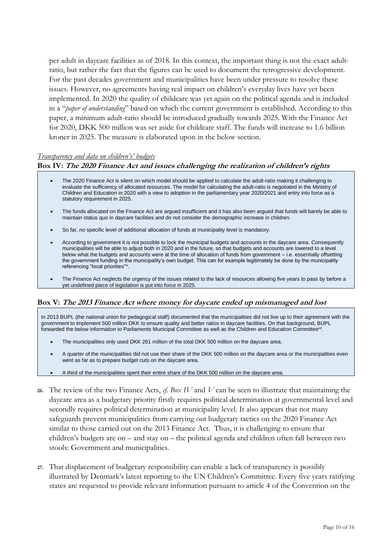per adult in daycare facilities as of 2018. In this context, the important thing is not the exact adultratio, but rather the fact that the figures can be used to document the retrogressive development. For the past decades government and municipalities have been under pressure to resolve these issues. However, no agreements having real impact on children's everyday lives have yet been implemented. In 2020 the quality of childcare was yet again on the political agenda and is included in a "*paper of understanding*" based on which the current government is established. According to this paper, a minimum adult-ratio should be introduced gradually towards 2025. With the Finance Act for 2020, DKK 500 million was set aside for childcare staff. The funds will increase to 1.6 billion kroner in 2025. The measure is elaborated upon in the below section.

### *Transparency and data on children's' budgets*

# **Box IV: The 2020 Finance Act and issues challenging the realization of children's rights**

- The 2020 Finance Act is silent on which model should be applied to calculate the adult-ratio making it challenging to evaluate the sufficiency of allocated resources. The model for calculating the adult-ratio is negotiated in the Ministry of Children and Education in 2020 with a view to adoption in the parliamentary year 2020/2021 and entry into force as a statutory requirement in 2025.
- The funds allocated on the Finance Act are argued insufficient and it has also been argued that funds will barely be able to maintain status quo in daycare facilities and do not consider the demographic increase in children.
- So far, no specific level of additional allocation of funds at municipality level is mandatory.
- According to government it is not possible to lock the municipal budgets and accounts in the daycare area. Consequently municipalities will be able to adjust both in 2020 and in the future, so that budgets and accounts are lowered to a level below what the budgets and accounts were at the time of allocation of funds from government – i.e. essentially offsetting the government funding in the municipality's own budget. This can for example legitimately be done by the municipality referencing "local priorities"<sup>xi</sup>.
- The Finance Act neglects the urgency of the issues related to the lack of resources allowing five years to pass by before a yet undefined piece of legislation is put into force in 2025.

### **Box V: The 2013 Finance Act where money for daycare ended up mismanaged and lost**

In 2013 BUPL (the national union for pedagogical staff) documented that the municipalities did not live up to their agreement with the government to implement 500 million DKK to ensure quality and better ratios in daycare facilities. On that background, BUPL forwarded the below information to Parliaments Municipal Committee as well as the Children and Education Committee<sup>xii</sup>.

- The municipalities only used DKK 261 million of the total DKK 500 million on the daycare area.
- A quarter of the municipalities did not use their share of the DKK 500 million on the daycare area or the municipalities even went as far as to prepare budget cuts on the daycare area.
- A third of the municipalities spent their entire share of the DKK 500 million on the daycare area.
- **26.** The review of the two Finance Acts, *cf. Box IV* and *V* can be seen to illustrate that maintaining the daycare area as a budgetary priority firstly requires political determination at governmental level and secondly requires political determination at municipality level. It also appears that not many safeguards prevent municipalities from carrying out budgetary tactics on the 2020 Finance Act similar to those carried out on the 2013 Finance Act. Thus, it is challenging to ensure that children's budgets are on – and stay on – the political agenda and children often fall between two stools: Government and municipalities.
- **27.** That displacement of budgetary responsibility can enable a lack of transparency is possibly illustrated by Denmark's latest reporting to the UN Children's Committee. Every five years ratifying states are requested to provide relevant information pursuant to article 4 of the Convention on the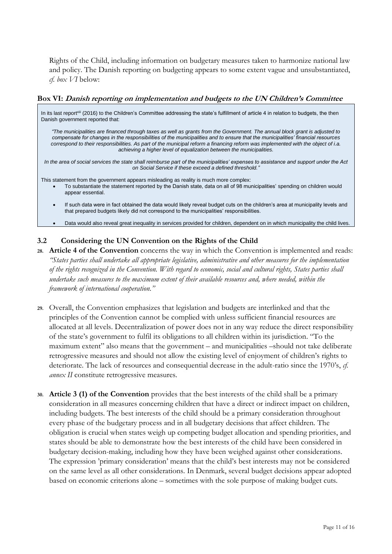Rights of the Child, including information on budgetary measures taken to harmonize national law and policy. The Danish reporting on budgeting appears to some extent vague and unsubstantiated, *cf. box VI* below:

#### **Box VI: Danish reporting on implementation and budgets to the UN Children's Committee**

In its last report<sup>xiii</sup> (2016) to the Children's Committee addressing the state's fulfillment of article 4 in relation to budgets, the then Danish government reported that:

*"The municipalities are financed through taxes as well as grants from the Government. The annual block grant is adjusted to compensate for changes in the responsibilities of the municipalities and to ensure that the municipalities' financial resources correspond to their responsibilities. As part of the municipal reform a financing reform was implemented with the object of i.a. achieving a higher level of equalization between the municipalities.*

*In the area of social services the state shall reimburse part of the municipalities' expenses to assistance and support under the Act on Social Service if these exceed a defined threshold."*

This statement from the government appears misleading as reality is much more complex:

- To substantiate the statement reported by the Danish state, data on all of 98 municipalities' spending on children would appear essential.
- If such data were in fact obtained the data would likely reveal budget cuts on the children's area at municipality levels and that prepared budgets likely did not correspond to the municipalities' responsibilities.
- Data would also reveal great inequality in services provided for children, dependent on in which municipality the child lives.

# **3.2 Considering the UN Convention on the Rights of the Child**

**28. Article 4 of the Convention** concerns the way in which the Convention is implemented and reads: *"States parties shall undertake all appropriate legislative, administrative and other measures for the implementation of the rights recognized in the Convention. With regard to economic, social and cultural rights, States parties shall undertake such measures to the maximum extent of their available resources and, where needed, within the framework of international cooperation."* 

- **29.** Overall, the Convention emphasizes that legislation and budgets are interlinked and that the principles of the Convention cannot be complied with unless sufficient financial resources are allocated at all levels. Decentralization of power does not in any way reduce the direct responsibility of the state's government to fulfil its obligations to all children within its jurisdiction. "To the maximum extent" also means that the government – and municipalities –should not take deliberate retrogressive measures and should not allow the existing level of enjoyment of children's rights to deteriorate. The lack of resources and consequential decrease in the adult-ratio since the 1970's, *cf. annex II* constitute retrogressive measures.
- **30. Article 3 (1) of the Convention** provides that the best interests of the child shall be a primary consideration in all measures concerning children that have a direct or indirect impact on children, including budgets. The best interests of the child should be a primary consideration throughout every phase of the budgetary process and in all budgetary decisions that affect children. The obligation is crucial when states weigh up competing budget allocation and spending priorities, and states should be able to demonstrate how the best interests of the child have been considered in budgetary decision-making, including how they have been weighed against other considerations. The expression 'primary consideration' means that the child's best interests may not be considered on the same level as all other considerations. In Denmark, several budget decisions appear adopted based on economic criterions alone – sometimes with the sole purpose of making budget cuts.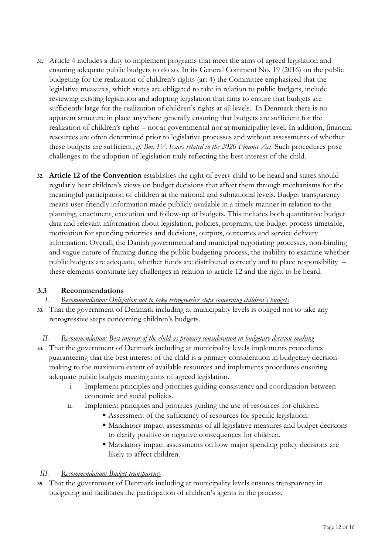- **31.** Article 4 includes a duty to implement programs that meet the aims of agreed legislation and ensuring adequate public budgets to do so. In its General Comment No. 19 (2016) on the public budgeting for the realization of children's rights (art 4) the Committee emphasized that the legislative measures, which states are obligated to take in relation to public budgets, include reviewing existing legislation and adopting legislation that aims to ensure that budgets are sufficiently large for the realization of children's rights at all levels. In Denmark there is no apparent structure in place anywhere generally ensuring that budgets are sufficient for the realization of children's rights – not at governmental nor at municipality level. In addition, financial resources are often determined prior to legislative processes and without assessments of whether these budgets are sufficient, *cf. Box IV: Issues related to the 2020 Finance Act*. Such procedures pose challenges to the adoption of legislation truly reflecting the best interest of the child.
- **32. Article 12 of the Convention** establishes the right of every child to be heard and states should regularly hear children's views on budget decisions that affect them through mechanisms for the meaningful participation of children at the national and subnational levels. Budget transparency means user-friendly information made publicly available in a timely manner in relation to the planning, enactment, execution and follow-up of budgets. This includes both quantitative budget data and relevant information about legislation, policies, programs, the budget process timetable, motivation for spending priorities and decisions, outputs, outcomes and service delivery information. Overall, the Danish governmental and municipal negotiating processes, non-binding and vague nature of framing during the public budgeting process, the inability to examine whether public budgets are adequate, whether funds are distributed correctly and to place responsibility – these elements constitute key challenges in relation to article 12 and the right to be heard.

# **3.3 Recommendations**

# *I. Recommendation: Obligation not to take retrogressive steps concerning children's budgets*

**33.** That the government of Denmark including at municipality levels is obliged not to take any retrogressive steps concerning children's budgets.

# *II. Recommendation: Best interest of the child as primary consideration in budgetary decision-making*

- **34.** That the government of Denmark including at municipality levels implements procedures guaranteeing that the best interest of the child is a primary consideration in budgetary decisionmaking to the maximum extent of available resources and implements procedures ensuring adequate public budgets meeting aims of agreed legislation.
	- i. Implement principles and priorities guiding consistency and coordination between economic and social policies.
	- ii. Implement principles and priorities guiding the use of resources for children.
		- Assessment of the sufficiency of resources for specific legislation.
		- Mandatory impact assessments of all legislative measures and budget decisions to clarify positive or negative consequences for children.
		- Mandatory impact assessments on how major spending policy decisions are likely to affect children.

# *III. Recommendation: Budget transparency*

**35.** That the government of Denmark including at municipality levels ensures transparency in budgeting and facilitates the participation of children's agents in the process.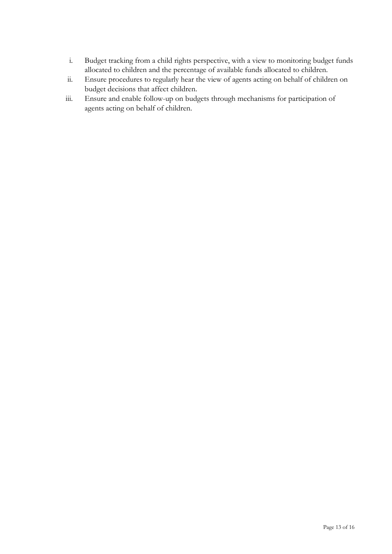- i. Budget tracking from a child rights perspective, with a view to monitoring budget funds allocated to children and the percentage of available funds allocated to children.
- ii. Ensure procedures to regularly hear the view of agents acting on behalf of children on budget decisions that affect children.
- iii. Ensure and enable follow-up on budgets through mechanisms for participation of agents acting on behalf of children.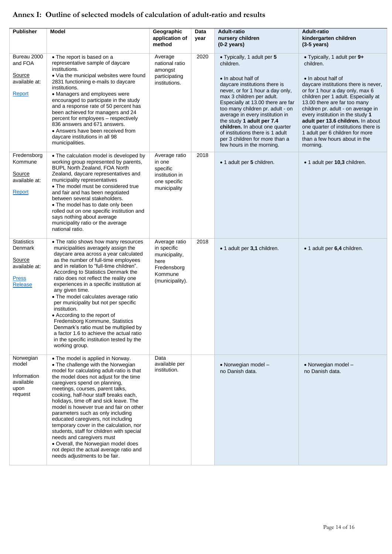# **Annex I: Outline of selected models of calculation of adult-ratio and results**

| <b>Publisher</b>                                                                   | Model                                                                                                                                                                                                                                                                                                                                                                                                                                                                                                                                                                                                                                                                                | Geographic<br>application of<br>method                                                             | Data<br>year | <b>Adult-ratio</b><br>nursery children<br>$(0-2 \text{ years})$                                                                                                                                                                                                                                                                                                                                                                               | Adult-ratio<br>kindergarten children<br>$(3-5 \text{ years})$                                                                                                                                                                                                                                                                                                                                                                                           |
|------------------------------------------------------------------------------------|--------------------------------------------------------------------------------------------------------------------------------------------------------------------------------------------------------------------------------------------------------------------------------------------------------------------------------------------------------------------------------------------------------------------------------------------------------------------------------------------------------------------------------------------------------------------------------------------------------------------------------------------------------------------------------------|----------------------------------------------------------------------------------------------------|--------------|-----------------------------------------------------------------------------------------------------------------------------------------------------------------------------------------------------------------------------------------------------------------------------------------------------------------------------------------------------------------------------------------------------------------------------------------------|---------------------------------------------------------------------------------------------------------------------------------------------------------------------------------------------------------------------------------------------------------------------------------------------------------------------------------------------------------------------------------------------------------------------------------------------------------|
| Bureau 2000<br>and FOA<br>Source<br>available at:<br>Report                        | • The report is based on a<br>representative sample of daycare<br>institutions.<br>• Via the municipal websites were found<br>2831 functioning e-mails to daycare<br>institutions.<br>• Managers and employees were<br>encouraged to participate in the study<br>and a response rate of 50 percent has<br>been achieved for managers and 24<br>percent for employees - respectively<br>836 answers and 671 answers.<br>• Answers have been received from<br>daycare institutions in all 98<br>municipalities.                                                                                                                                                                        | Average<br>national ratio<br>amongst<br>participating<br>institutions.                             | 2020         | • Typically, 1 adult per 5<br>children.<br>• In about half of<br>daycare institutions there is<br>never, or for 1 hour a day only,<br>max 3 children per adult.<br>Especially at 13.00 there are far<br>too many children pr. adult - on<br>average in every institution in<br>the study 1 adult per 7.4<br>children. In about one quarter<br>of institutions there is 1 adult<br>per 3 children for more than a<br>few hours in the morning. | • Typically, 1 adult per 9+<br>children.<br>• In about half of<br>daycare institutions there is never,<br>or for 1 hour a day only, max 6<br>children per 1 adult. Especially at<br>13.00 there are far too many<br>children pr. adult - on average in<br>every institution in the study 1<br>adult per 13.6 children. In about<br>one quarter of institutions there is<br>1 adult per 6 children for more<br>than a few hours about in the<br>morning. |
| Fredensborg<br>Kommune<br>Source<br>available at:<br>Report                        | • The calculation model is developed by<br>working group represented by parents,<br>BUPL North Zealand, FOA North<br>Zealand, daycare representatives and<br>municipality representatives<br>• The model must be considered true<br>and fair and has been negotiated<br>between several stakeholders.<br>• The model has to date only been<br>rolled out on one specific institution and<br>says nothing about average<br>municipality ratio or the average<br>national ratio.                                                                                                                                                                                                       | Average ratio<br>in one<br>specific<br>institution in<br>one specific<br>municipality              | 2018         | • 1 adult per 5 children.                                                                                                                                                                                                                                                                                                                                                                                                                     | • 1 adult per 10,3 children.                                                                                                                                                                                                                                                                                                                                                                                                                            |
| <b>Statistics</b><br>Denmark<br>Source<br>available at:<br><b>Press</b><br>Release | • The ratio shows how many resources<br>municipalities averagely assign the<br>daycare area across a year calculated<br>as the number of full-time employees<br>and in relation to "full-time children".<br>According to Statistics Denmark the<br>ratio does not reflect the reality one<br>experiences in a specific institution at<br>any given time.<br>• The model calculates average ratio<br>per municipality but not per specific<br>institution.<br>• According to the report of<br>Fredensborg Kommune, Statistics<br>Denmark's ratio must be multiplied by<br>a factor 1.6 to achieve the actual ratio<br>in the specific institution tested by the<br>working group.     | Average ratio<br>in specific<br>municipality,<br>here<br>Fredensborg<br>Kommune<br>(municipality). | 2018         | • 1 adult per 3,1 children.                                                                                                                                                                                                                                                                                                                                                                                                                   | • 1 adult per 6,4 children.                                                                                                                                                                                                                                                                                                                                                                                                                             |
| Norwegian<br>model<br>Information<br>available<br>upon<br>request                  | • The model is applied in Norway.<br>• The challenge with the Norwegian<br>model for calculating adult-ratio is that<br>the model does not adjust for the time<br>caregivers spend on planning,<br>meetings, courses, parent talks,<br>cooking, half-hour staff breaks each,<br>holidays, time off and sick leave. The<br>model is however true and fair on other<br>parameters such as only including<br>educated caregivers, not including<br>temporary cover in the calculation, nor<br>students, staff for children with special<br>needs and caregivers must<br>. Overall, the Norwegian model does<br>not depict the actual average ratio and<br>needs adjustments to be fair. | Data<br>available per<br>institution.                                                              |              | • Norwegian model -<br>no Danish data.                                                                                                                                                                                                                                                                                                                                                                                                        | • Norwegian model -<br>no Danish data.                                                                                                                                                                                                                                                                                                                                                                                                                  |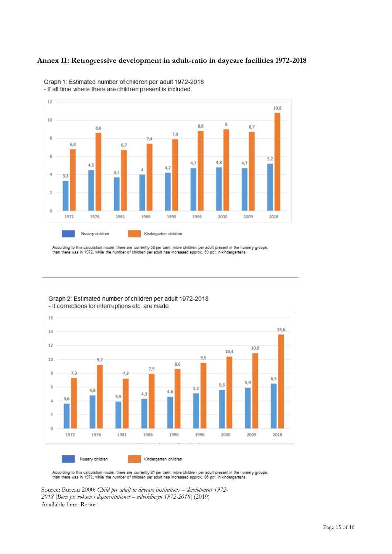# **Annex II: Retrogressive development in adult-ratio in daycare facilities 1972-2018**



Graph 1: Estimated number of children per adult 1972-2018 - If all time where there are children present is included.

According to this calculation model, there are currently 58 per cent. more children per adult present in the nursery groups, than there was in 1972, while the number of children per adult has increased approx. 59 pct. in kindergartens.



Graph 2: Estimated number of children per adult 1972-2018 - If corrections for interruptions etc. are made.

According to this calculation model, there are currently 81 per cent. more children per adult present in the nursery groups,<br>than there was in 1972, while the number of children per adult has increased approx. 86 pct. in k

Source: Bureau 2000: *Child per adult in daycare institutions – development 1972- 2018* [*Børn pr. voksen i daginstitutioner – udviklingen 1972-2018*] (2019) Available here: [Report](https://www.bureau2000.dk/CustomerData/Files/Folders/7-seneste-nyheder/1080_b%C3%B8rn-pr-voksen-3008-2019.pdf)